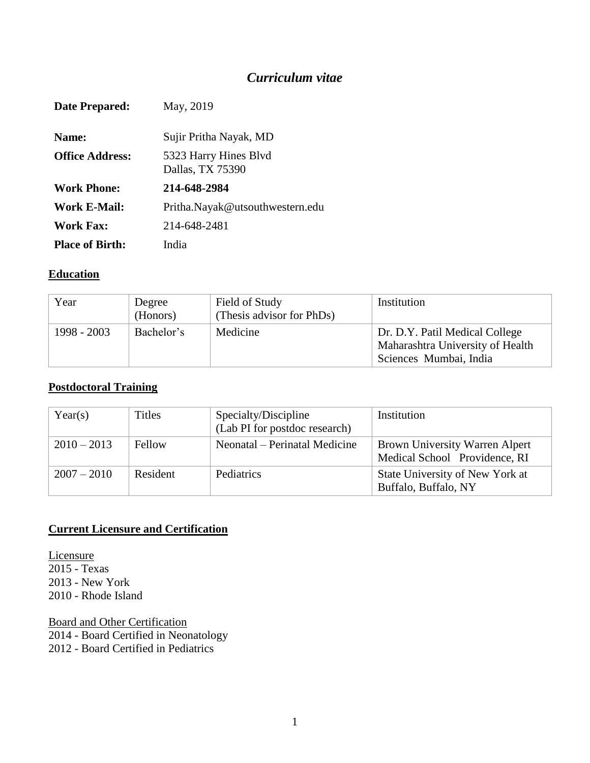## *Curriculum vitae*

| Date Prepared:         | May, 2019                                 |
|------------------------|-------------------------------------------|
| <b>Name:</b>           | Sujir Pritha Nayak, MD                    |
| <b>Office Address:</b> | 5323 Harry Hines Blvd<br>Dallas, TX 75390 |
| <b>Work Phone:</b>     | 214-648-2984                              |
| Work E-Mail:           | Pritha.Nayak@utsouthwestern.edu           |
| <b>Work Fax:</b>       | 214-648-2481                              |
| <b>Place of Birth:</b> | India                                     |

#### **Education**

| Year          | Degree<br>(Honors) | Field of Study<br>(Thesis advisor for PhDs) | Institution                                                                                  |
|---------------|--------------------|---------------------------------------------|----------------------------------------------------------------------------------------------|
| $1998 - 2003$ | Bachelor's         | Medicine                                    | Dr. D.Y. Patil Medical College<br>Maharashtra University of Health<br>Sciences Mumbai, India |

#### **Postdoctoral Training**

| Year(s)       | <b>Titles</b> | Specialty/Discipline<br>(Lab PI for postdoc research) | Institution                                                            |
|---------------|---------------|-------------------------------------------------------|------------------------------------------------------------------------|
| $2010 - 2013$ | Fellow        | Neonatal – Perinatal Medicine                         | <b>Brown University Warren Alpert</b><br>Medical School Providence, RI |
| $2007 - 2010$ | Resident      | Pediatrics                                            | State University of New York at<br>Buffalo, Buffalo, NY                |

#### **Current Licensure and Certification**

**Licensure** 2015 - Texas 2013 - New York 2010 - Rhode Island

Board and Other Certification 2014 - Board Certified in Neonatology 2012 - Board Certified in Pediatrics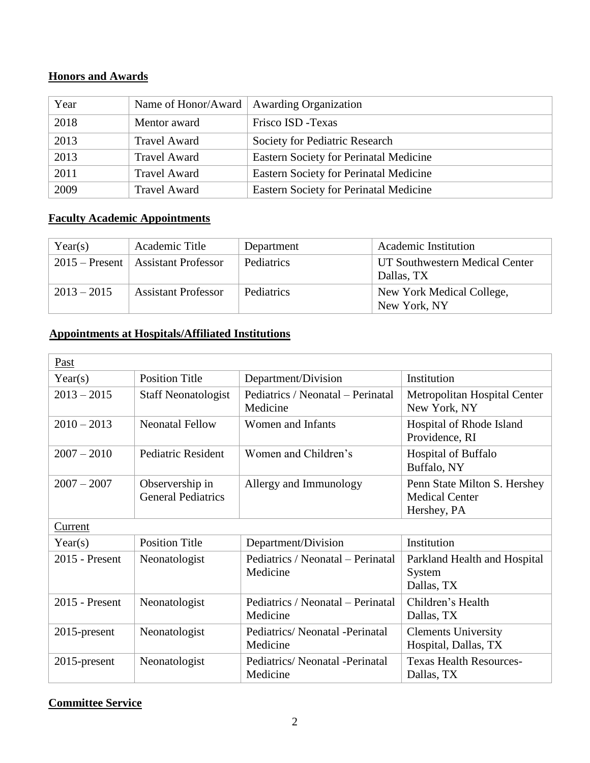### **Honors and Awards**

| Year | Name of Honor/Award | <b>Awarding Organization</b>                  |
|------|---------------------|-----------------------------------------------|
| 2018 | Mentor award        | Frisco ISD - Texas                            |
| 2013 | <b>Travel Award</b> | Society for Pediatric Research                |
| 2013 | <b>Travel Award</b> | <b>Eastern Society for Perinatal Medicine</b> |
| 2011 | <b>Travel Award</b> | Eastern Society for Perinatal Medicine        |
| 2009 | <b>Travel Award</b> | <b>Eastern Society for Perinatal Medicine</b> |

### **Faculty Academic Appointments**

| Year(s)       | Academic Title                         | Department | Academic Institution                         |
|---------------|----------------------------------------|------------|----------------------------------------------|
|               | $2015$ – Present   Assistant Professor | Pediatrics | UT Southwestern Medical Center<br>Dallas, TX |
| $2013 - 2015$ | <b>Assistant Professor</b>             | Pediatrics | New York Medical College,<br>New York, NY    |

### **Appointments at Hospitals/Affiliated Institutions**

| Past             |                                              |                                               |                                                                      |
|------------------|----------------------------------------------|-----------------------------------------------|----------------------------------------------------------------------|
| Year(s)          | <b>Position Title</b>                        | Department/Division                           | Institution                                                          |
| $2013 - 2015$    | <b>Staff Neonatologist</b>                   | Pediatrics / Neonatal – Perinatal<br>Medicine | Metropolitan Hospital Center<br>New York, NY                         |
| $2010 - 2013$    | <b>Neonatal Fellow</b>                       | Women and Infants                             | Hospital of Rhode Island<br>Providence, RI                           |
| $2007 - 2010$    | <b>Pediatric Resident</b>                    | Women and Children's                          | <b>Hospital of Buffalo</b><br>Buffalo, NY                            |
| $2007 - 2007$    | Observership in<br><b>General Pediatrics</b> | Allergy and Immunology                        | Penn State Milton S. Hershey<br><b>Medical Center</b><br>Hershey, PA |
| Current          |                                              |                                               |                                                                      |
| Year(s)          | <b>Position Title</b>                        | Department/Division                           | Institution                                                          |
| $2015$ - Present | Neonatologist                                | Pediatrics / Neonatal – Perinatal<br>Medicine | Parkland Health and Hospital<br>System<br>Dallas, TX                 |
| 2015 - Present   | Neonatologist                                | Pediatrics / Neonatal - Perinatal<br>Medicine | Children's Health<br>Dallas, TX                                      |
| 2015-present     | Neonatologist                                | Pediatrics/Neonatal -Perinatal<br>Medicine    | <b>Clements University</b><br>Hospital, Dallas, TX                   |
| $2015$ -present  | Neonatologist                                | Pediatrics/Neonatal -Perinatal<br>Medicine    | <b>Texas Health Resources-</b><br>Dallas, TX                         |

### **Committee Service**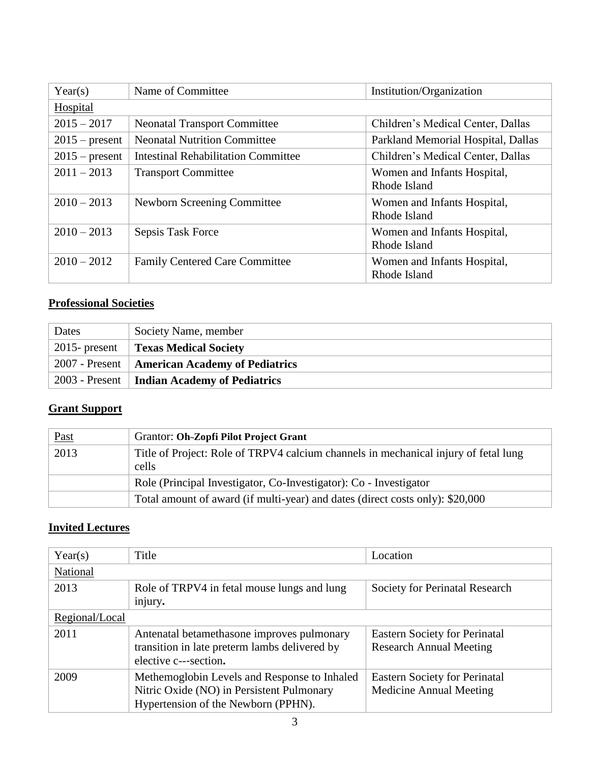| Year(s)          | Name of Committee                          | Institution/Organization                    |
|------------------|--------------------------------------------|---------------------------------------------|
| Hospital         |                                            |                                             |
| $2015 - 2017$    | <b>Neonatal Transport Committee</b>        | Children's Medical Center, Dallas           |
| $2015$ – present | <b>Neonatal Nutrition Committee</b>        | Parkland Memorial Hospital, Dallas          |
| $2015$ – present | <b>Intestinal Rehabilitation Committee</b> | Children's Medical Center, Dallas           |
| $2011 - 2013$    | <b>Transport Committee</b>                 | Women and Infants Hospital,<br>Rhode Island |
| $2010 - 2013$    | Newborn Screening Committee                | Women and Infants Hospital,<br>Rhode Island |
| $2010 - 2013$    | Sepsis Task Force                          | Women and Infants Hospital,<br>Rhode Island |
| $2010 - 2012$    | <b>Family Centered Care Committee</b>      | Women and Infants Hospital,<br>Rhode Island |

# **Professional Societies**

| Dates            | Society Name, member                            |
|------------------|-------------------------------------------------|
| $2015$ - present | <b>Texas Medical Society</b>                    |
|                  | 2007 - Present   American Academy of Pediatrics |
|                  | 2003 - Present   Indian Academy of Pediatrics   |

### **Grant Support**

| <b>Past</b> | Grantor: Oh-Zopfi Pilot Project Grant                                                        |
|-------------|----------------------------------------------------------------------------------------------|
| 2013        | Title of Project: Role of TRPV4 calcium channels in mechanical injury of fetal lung<br>cells |
|             | Role (Principal Investigator, Co-Investigator): Co - Investigator                            |
|             | Total amount of award (if multi-year) and dates (direct costs only): \$20,000                |

# **Invited Lectures**

| Year(s)        | Title                                                                                                                            | Location                                                               |
|----------------|----------------------------------------------------------------------------------------------------------------------------------|------------------------------------------------------------------------|
| National       |                                                                                                                                  |                                                                        |
| 2013           | Role of TRPV4 in fetal mouse lungs and lung<br>injury.                                                                           | Society for Perinatal Research                                         |
| Regional/Local |                                                                                                                                  |                                                                        |
| 2011           | Antenatal betamethasone improves pulmonary<br>transition in late preterm lambs delivered by<br>elective c---section.             | <b>Eastern Society for Perinatal</b><br><b>Research Annual Meeting</b> |
| 2009           | Methemoglobin Levels and Response to Inhaled<br>Nitric Oxide (NO) in Persistent Pulmonary<br>Hypertension of the Newborn (PPHN). | <b>Eastern Society for Perinatal</b><br>Medicine Annual Meeting        |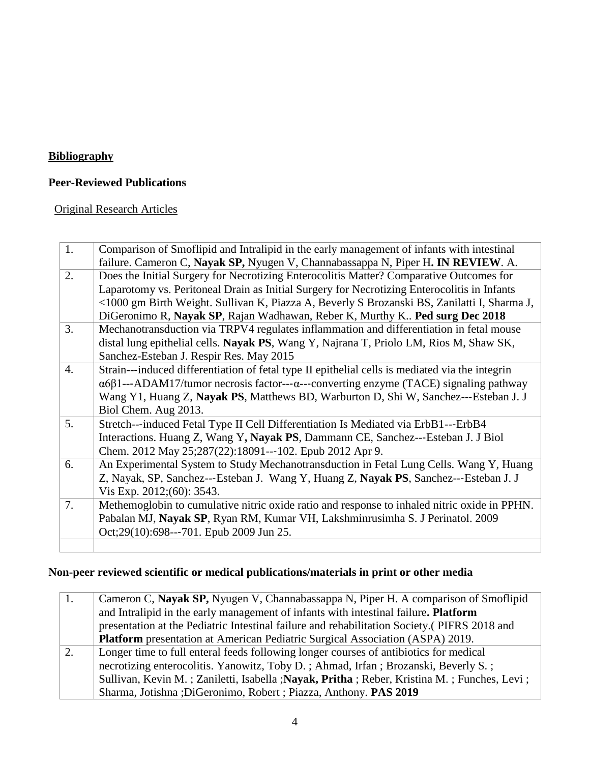# **Bibliography**

### **Peer-Reviewed Publications**

### Original Research Articles

| 1.               | Comparison of Smoflipid and Intralipid in the early management of infants with intestinal             |
|------------------|-------------------------------------------------------------------------------------------------------|
|                  | failure. Cameron C, Nayak SP, Nyugen V, Channabassappa N, Piper H. IN REVIEW. A.                      |
| 2.               | Does the Initial Surgery for Necrotizing Enterocolitis Matter? Comparative Outcomes for               |
|                  | Laparotomy vs. Peritoneal Drain as Initial Surgery for Necrotizing Enterocolitis in Infants           |
|                  | <1000 gm Birth Weight. Sullivan K, Piazza A, Beverly S Brozanski BS, Zanilatti I, Sharma J,           |
|                  | DiGeronimo R, Nayak SP, Rajan Wadhawan, Reber K, Murthy K Ped surg Dec 2018                           |
| 3.               | Mechanotransduction via TRPV4 regulates inflammation and differentiation in fetal mouse               |
|                  | distal lung epithelial cells. Nayak PS, Wang Y, Najrana T, Priolo LM, Rios M, Shaw SK,                |
|                  | Sanchez-Esteban J. Respir Res. May 2015                                                               |
| $\overline{4}$ . | Strain---induced differentiation of fetal type II epithelial cells is mediated via the integrin       |
|                  | $\alpha$ 6β1---ADAM17/tumor necrosis factor--- $\alpha$ ---converting enzyme (TACE) signaling pathway |
|                  | Wang Y1, Huang Z, Nayak PS, Matthews BD, Warburton D, Shi W, Sanchez---Esteban J. J                   |
|                  | Biol Chem. Aug 2013.                                                                                  |
| 5.               | Stretch---induced Fetal Type II Cell Differentiation Is Mediated via ErbB1---ErbB4                    |
|                  | Interactions. Huang Z, Wang Y, Nayak PS, Dammann CE, Sanchez---Esteban J. J Biol                      |
|                  | Chem. 2012 May 25;287(22):18091---102. Epub 2012 Apr 9.                                               |
| 6.               | An Experimental System to Study Mechanotransduction in Fetal Lung Cells. Wang Y, Huang                |
|                  | Z, Nayak, SP, Sanchez---Esteban J. Wang Y, Huang Z, Nayak PS, Sanchez---Esteban J. J                  |
|                  | Vis Exp. 2012;(60): 3543.                                                                             |
| 7.               | Methemoglobin to cumulative nitric oxide ratio and response to inhaled nitric oxide in PPHN.          |
|                  | Pabalan MJ, Nayak SP, Ryan RM, Kumar VH, Lakshminrusimha S. J Perinatol. 2009                         |
|                  | Oct;29(10):698---701. Epub 2009 Jun 25.                                                               |
|                  |                                                                                                       |

### **Non-peer reviewed scientific or medical publications/materials in print or other media**

| 1. | Cameron C, Nayak SP, Nyugen V, Channabassappa N, Piper H. A comparison of Smoflipid         |
|----|---------------------------------------------------------------------------------------------|
|    | and Intralipid in the early management of infants with intestinal failure. Platform         |
|    | presentation at the Pediatric Intestinal failure and rehabilitation Society.(PIFRS 2018 and |
|    | <b>Platform</b> presentation at American Pediatric Surgical Association (ASPA) 2019.        |
| 2. | Longer time to full enteral feeds following longer courses of antibiotics for medical       |
|    | necrotizing enterocolitis. Yanowitz, Toby D.; Ahmad, Irfan; Brozanski, Beverly S.;          |
|    | Sullivan, Kevin M.; Zaniletti, Isabella; Nayak, Pritha; Reber, Kristina M.; Funches, Levi;  |
|    | Sharma, Jotishna ; DiGeronimo, Robert ; Piazza, Anthony. PAS 2019                           |